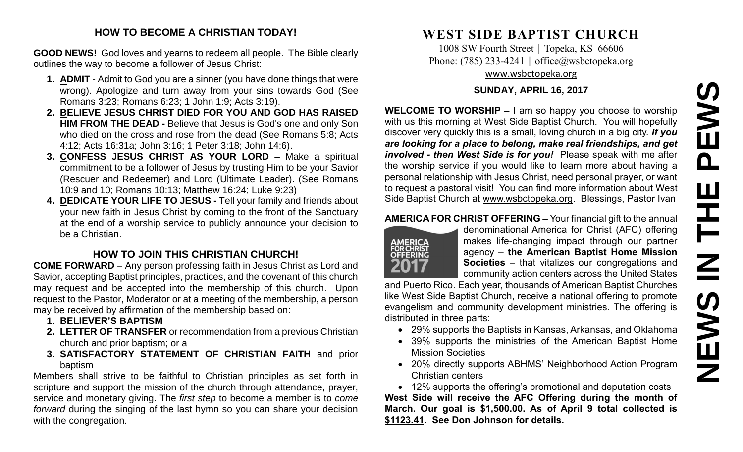# **NEWS IN THE PEWS**PEWS HH<br>N<br>N **SWEMS**

#### **HOW TO BECOME A CHRISTIAN TODAY!**

**GOOD NEWS!** God loves and yearns to redeem all people. The Bible clearly outlines the way to become a follower of Jesus Christ:

- **1. ADMIT** Admit to God you are a sinner (you have done things that were wrong). Apologize and turn away from your sins towards God (See Romans 3:23; Romans 6:23; 1 John 1:9; Acts 3:19).
- **2. BELIEVE JESUS CHRIST DIED FOR YOU AND GOD HAS RAISED HIM FROM THE DEAD -** Believe that Jesus is God's one and only Son who died on the cross and rose from the dead (See Romans 5:8; Acts 4:12; Acts 16:31a; John 3:16; 1 Peter 3:18; John 14:6).
- **3. CONFESS JESUS CHRIST AS YOUR LORD –** Make a spiritual commitment to be a follower of Jesus by trusting Him to be your Savior (Rescuer and Redeemer) and Lord (Ultimate Leader). (See Romans 10:9 and 10; Romans 10:13; Matthew 16:24; Luke 9:23)
- **4. DEDICATE YOUR LIFE TO JESUS -** Tell your family and friends about your new faith in Jesus Christ by coming to the front of the Sanctuary at the end of a worship service to publicly announce your decision to be a Christian.

### **HOW TO JOIN THIS CHRISTIAN CHURCH!**

**COME FORWARD** – Any person professing faith in Jesus Christ as Lord and Savior, accepting Baptist principles, practices, and the covenant of this church may request and be accepted into the membership of this church. Upon request to the Pastor, Moderator or at a meeting of the membership, a person may be received by affirmation of the membership based on:

- **1. BELIEVER'S BAPTISM**
- **2. LETTER OF TRANSFER** or recommendation from a previous Christian church and prior baptism; or a
- **3. SATISFACTORY STATEMENT OF CHRISTIAN FAITH** and prior baptism

Members shall strive to be faithful to Christian principles as set forth in scripture and support the mission of the church through attendance, prayer, service and monetary giving. The *first step* to become a member is to *come forward* during the singing of the last hymn so you can share your decision with the congregation.

# **WEST SIDE BAPTIST CHURCH**

1008 SW Fourth Street | Topeka, KS 66606 Phone: (785) 233-4241 │ [office@wsbctopeka.org](mailto:office@wsbctopeka.org) [www.wsbctopeka.org](http://www.wsbctopeka.org/)

#### **SUNDAY, APRIL 16, 2017**

**WELCOME TO WORSHIP –** I am so happy you choose to worship with us this morning at West Side Baptist Church. You will hopefully discover very quickly this is a small, loving church in a big city. *If you are looking for a place to belong, make real friendships, and get involved - then West Side is for you!* Please speak with me after the worship service if you would like to learn more about having a personal relationship with Jesus Christ, need personal prayer, or want to request a pastoral visit! You can find more information about West Side Baptist Church at [www.wsbctopeka.org.](http://www.wsbctopeka.org/) Blessings, Pastor Ivan

#### **AMERICA FOR CHRIST OFFERING –** Your financial gift to the annual



denominational America for Christ (AFC) offering makes life-changing impact through our partner agency – **the American Baptist Home Mission Societies** – that vitalizes our congregations and community action centers across the United States

and Puerto Rico. Each year, thousands of American Baptist Churches like West Side Baptist Church, receive a national offering to promote evangelism and community development ministries. The offering is distributed in three parts:

- 29% supports the Baptists in Kansas, Arkansas, and Oklahoma
- 39% supports the ministries of the American Baptist Home Mission Societies
- 20% directly supports ABHMS' Neighborhood Action Program Christian centers

• 12% supports the offering's promotional and deputation costs

**West Side will receive the AFC Offering during the month of March. Our goal is \$1,500.00. As of April 9 total collected is \$1123.41. See Don Johnson for details.**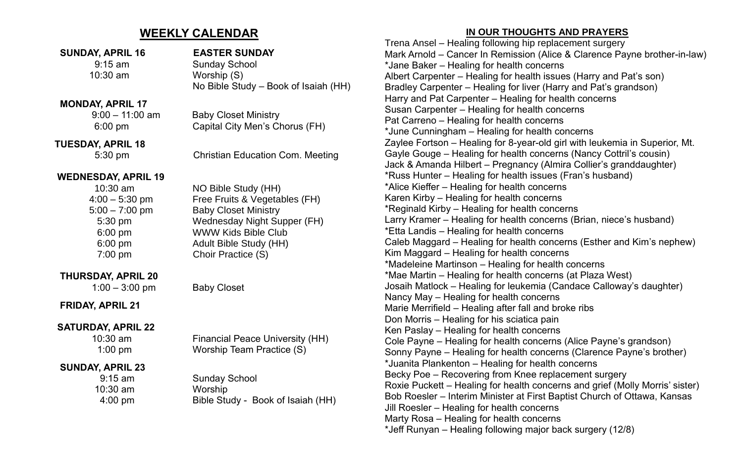## **WEEKLY CALENDAR**

|                            |                                         | Trena An          |
|----------------------------|-----------------------------------------|-------------------|
| <b>SUNDAY, APRIL 16</b>    | <b>EASTER SUNDAY</b>                    | <b>Mark Arn</b>   |
| $9:15$ am                  | <b>Sunday School</b>                    | *Jane Ba          |
| 10:30 am                   | Worship (S)                             | <b>Albert Ca</b>  |
|                            | No Bible Study - Book of Isaiah (HH)    | <b>Bradley (</b>  |
|                            |                                         | Harry and         |
| <b>MONDAY, APRIL 17</b>    |                                         | Susan Ca          |
| $9:00 - 11:00$ am          | <b>Baby Closet Ministry</b>             | Pat Carre         |
| 6:00 pm                    | Capital City Men's Chorus (FH)          | *June Cu          |
| <b>TUESDAY, APRIL 18</b>   |                                         | Zaylee F          |
| 5:30 pm                    | <b>Christian Education Com. Meeting</b> | Gayle Go          |
|                            |                                         | Jack & A          |
| <b>WEDNESDAY, APRIL 19</b> |                                         | *Russ Hu          |
| 10:30 am                   | NO Bible Study (HH)                     | *Alice Kie        |
| $4:00 - 5:30$ pm           | Free Fruits & Vegetables (FH)           | <b>Karen Kir</b>  |
| $5:00 - 7:00$ pm           | <b>Baby Closet Ministry</b>             | *Reginald         |
| 5:30 pm                    | Wednesday Night Supper (FH)             | <b>Larry Kra</b>  |
| $6:00$ pm                  | <b>WWW Kids Bible Club</b>              | *Etta Lan         |
| $6:00$ pm                  | Adult Bible Study (HH)                  | Caleb Ma          |
| 7:00 pm                    | Choir Practice (S)                      | Kim Mag           |
|                            |                                         | *Madelei          |
| <b>THURSDAY, APRIL 20</b>  |                                         | *Mae Ma           |
| $1:00 - 3:00$ pm           | <b>Baby Closet</b>                      | Josaih M          |
|                            |                                         | Nancy Ma          |
| FRIDAY, APRIL 21           |                                         | Marie Me          |
|                            |                                         | Don Morr          |
| <b>SATURDAY, APRIL 22</b>  |                                         | <b>Ken Pasl</b>   |
| $10:30$ am                 | <b>Financial Peace University (HH)</b>  | <b>Cole Pay</b>   |
| $1:00$ pm                  | Worship Team Practice (S)               | Sonny Pa          |
| <b>SUNDAY, APRIL 23</b>    |                                         | *Juanita l        |
| $9:15$ am                  | <b>Sunday School</b>                    | <b>Becky Po</b>   |
| 10:30 am                   | Worship                                 | <b>Roxie Pu</b>   |
| $4:00$ pm                  | Bible Study - Book of Isaiah (HH)       | <b>Bob Roes</b>   |
|                            |                                         | <b>Jill Roesl</b> |
|                            |                                         |                   |

#### **IN OUR THOUGHTS AND PRAYERS**

nsel – Healing following hip replacement surgery old – Cancer In Remission (Alice & Clarence Payne brother-in-law)  $\frac{1}{10}$  – Healing for health concerns arpenter – Healing for health issues (Harry and Pat's son) Carpenter – Healing for liver (Harry and Pat's grandson) d Pat Carpenter – Healing for health concerns arpenter – Healing for health concerns eno – Healing for health concerns inningham – Healing for health concerns ortson – Healing for 8-year-old girl with leukemia in Superior, Mt. buge – Healing for health concerns (Nancy Cottril's cousin) manda Hilbert – Pregnancy (Almira Collier's granddaughter) Inter – Healing for health issues (Fran's husband) effer – Healing for health concerns rby – Healing for health concerns d Kirby – Healing for health concerns amer – Healing for health concerns (Brian, niece's husband) dis – Healing for health concerns aggard – Healing for health concerns (Esther and Kim's nephew) gard – Healing for health concerns ne Martinson – Healing for health concerns irtin – Healing for health concerns (at Plaza West) latlock – Healing for leukemia (Candace Calloway's daughter)  $ay$  – Healing for health concerns errifield – Healing after fall and broke ribs ris – Healing for his sciatica pain lay – Healing for health concerns ne – Healing for health concerns (Alice Payne's grandson) ayne – Healing for health concerns (Clarence Payne's brother) Plankenton – Healing for health concerns be – Recovering from Knee replacement surgery Ickett – Healing for health concerns and grief (Molly Morris' sister) sler – Interim Minister at First Baptist Church of Ottawa, Kansas ler – Healing for health concerns Marty Rosa – Healing for health concerns \*Jeff Runyan – Healing following major back surgery (12/8)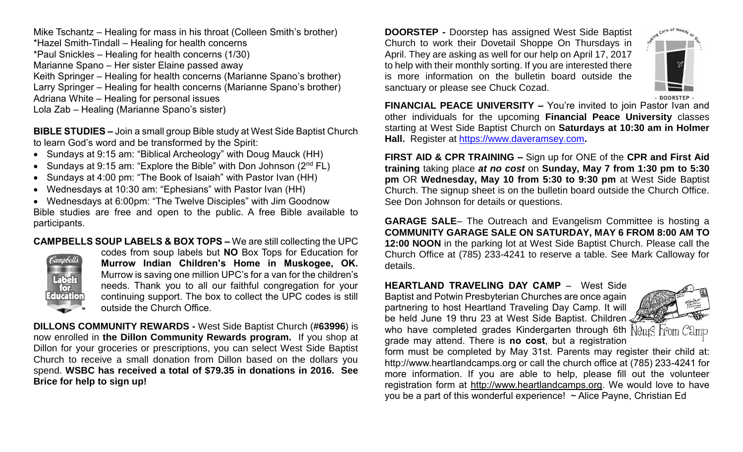Mike Tschantz – Healing for mass in his throat (Colleen Smith's brother) \*Hazel Smith-Tindall – Healing for health concerns \*Paul Snickles – Healing for health concerns (1/30) Marianne Spano – Her sister Elaine passed away Keith Springer – Healing for health concerns (Marianne Spano's brother) Larry Springer – Healing for health concerns (Marianne Spano's brother) Adriana White – Healing for personal issues Lola Zab – Healing (Marianne Spano's sister)

**BIBLE STUDIES –** Join a small group Bible study at West Side Baptist Church to learn God's word and be transformed by the Spirit:

- Sundays at 9:15 am: "Biblical Archeology" with Doug Mauck (HH)
- Sundays at 9:15 am: "Explore the Bible" with Don Johnson  $(2^{nd} FL)$
- Sundays at 4:00 pm: "The Book of Isaiah" with Pastor Ivan (HH)
- Wednesdays at 10:30 am: "Ephesians" with Pastor Ivan (HH)

• Wednesdays at 6:00pm: "The Twelve Disciples" with Jim Goodnow Bible studies are free and open to the public. A free Bible available to participants.

**CAMPBELLS SOUP LABELS & BOX TOPS –** We are still collecting the UPC



codes from soup labels but **NO** Box Tops for Education for **Murrow Indian Children's Home in Muskogee, OK.**  Murrow is saving one million UPC's for a van for the children's needs. Thank you to all our faithful congregation for your continuing support. The box to collect the UPC codes is still outside the Church Office.

**DILLONS COMMUNITY REWARDS -** West Side Baptist Church (**#63996**) is now enrolled in **the Dillon Community Rewards program.** If you shop at Dillon for your groceries or prescriptions, you can select West Side Baptist Church to receive a small donation from Dillon based on the dollars you spend. **WSBC has received a total of \$79.35 in donations in 2016. See Brice for help to sign up!**

**DOORSTEP -** Doorstep has assigned West Side Baptist Church to work their Dovetail Shoppe On Thursdays in April. They are asking as well for our help on April 17, 2017 to help with their monthly sorting. If you are interested there is more information on the bulletin board outside the sanctuary or please see Chuck Cozad.



**FINANCIAL PEACE UNIVERSITY –** You're invited to join Pastor Ivan and other individuals for the upcoming **Financial Peace University** classes starting at West Side Baptist Church on **Saturdays at 10:30 am in Holmer Hall.** Register at [https://www.daveramsey.com](https://www.daveramsey.com/)**.** 

**FIRST AID & CPR TRAINING –** Sign up for ONE of the **CPR and First Aid training** taking place *at no cost* on **Sunday, May 7 from 1:30 pm to 5:30 pm** OR **Wednesday, May 10 from 5:30 to 9:30 pm** at West Side Baptist Church. The signup sheet is on the bulletin board outside the Church Office. See Don Johnson for details or questions.

**GARAGE SALE**– The Outreach and Evangelism Committee is hosting a **COMMUNITY GARAGE SALE ON SATURDAY, MAY 6 FROM 8:00 AM TO 12:00 NOON** in the parking lot at West Side Baptist Church. Please call the Church Office at (785) 233-4241 to reserve a table. See Mark Calloway for details.

**HEARTLAND TRAVELING DAY CAMP** –West Side Baptist and Potwin Presbyterian Churches are once again partnering to host Heartland Traveling Day Camp. It will be held June 19 thru 23 at West Side Baptist. Children



who have completed grades Kindergarten through 6th  $N$  $\theta$ UIS  $r$  $\theta$ mm  $C$ 3m $\theta$ grade may attend. There is **no cost**, but a registration

form must be completed by May 31st. Parents may register their child at: http://www.heartlandcamps.org or call the church office at (785) 233-4241 for more information. If you are able to help, please fill out the volunteer registration form at [http://www.heartlandcamps.org.](http://www.heartlandcamps.org/) We would love to have you be a part of this wonderful experience! ~ Alice Payne, Christian Ed